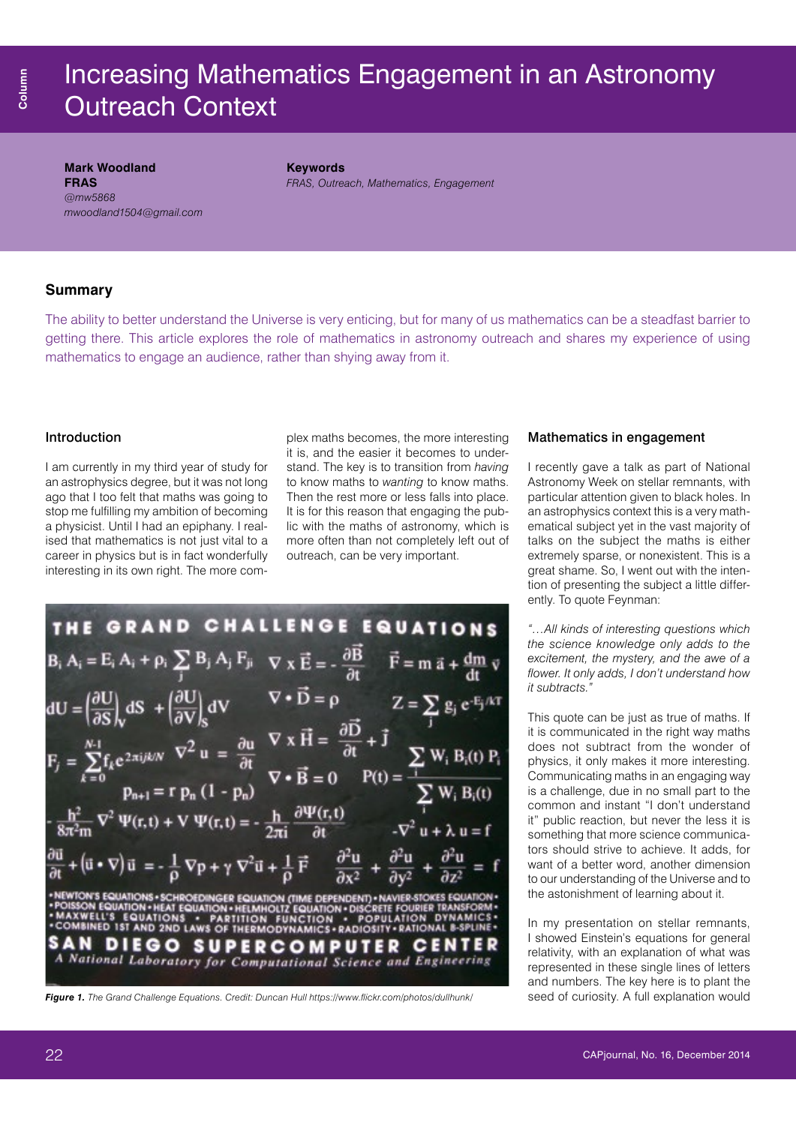## Increasing Mathematics Engagement in an Astronomy Outreach Context

**Mark Woodland FRAS**  *[@mw5868](https://twitter.com/search?q=%40mw5868&src=typd) [mwoodland1504@gmail.com](mailto:mwoodland1504@gmail.com)* **Keywords**

*FRAS, Outreach, Mathematics, Engagement*

#### **Summary**

The ability to better understand the Universe is very enticing, but for many of us mathematics can be a steadfast barrier to getting there. This article explores the role of mathematics in astronomy outreach and shares my experience of using mathematics to engage an audience, rather than shying away from it.

#### Introduction

I am currently in my third year of study for an astrophysics degree, but it was not long ago that I too felt that maths was going to stop me fulfilling my ambition of becoming a physicist. Until I had an epiphany. I realised that mathematics is not just vital to a career in physics but is in fact wonderfully interesting in its own right. The more complex maths becomes, the more interesting it is, and the easier it becomes to understand. The key is to transition from *having* to know maths to *wanting* to know maths. Then the rest more or less falls into place. It is for this reason that engaging the public with the maths of astronomy, which is more often than not completely left out of outreach, can be very important.

| Mathematics in engagement |  |  |
|---------------------------|--|--|
|---------------------------|--|--|

I recently gave a talk as part of National Astronomy Week on stellar remnants, with particular attention given to black holes. In an astrophysics context this is a very mathematical subject yet in the vast majority of talks on the subject the maths is either extremely sparse, or nonexistent. This is a great shame. So, I went out with the intention of presenting the subject a little differently. To quote Feynman:

*"…All kinds of interesting questions which the science knowledge only adds to the excitement, the mystery, and the awe of a flower. It only adds, I don't understand how it subtracts."*

This quote can be just as true of maths. If it is communicated in the right way maths does not subtract from the wonder of physics, it only makes it more interesting. Communicating maths in an engaging way is a challenge, due in no small part to the common and instant "I don't understand it" public reaction, but never the less it is something that more science communicators should strive to achieve. It adds, for want of a better word, another dimension to our understanding of the Universe and to the astonishment of learning about it.

In my presentation on stellar remnants, I showed Einstein's equations for general relativity, with an explanation of what was represented in these single lines of letters and numbers. The key here is to plant the

**THE GRAPHE GRAND CHALLEN GE EQUATION S**  
\n
$$
B_i A_i = E_i A_i + \rho_i \sum_{j} B_j A_j F_{ji} \nabla \times \vec{E} = -\frac{\partial \vec{B}}{\partial t} \quad \vec{F} = m \vec{a} + \frac{dm}{dt} \vec{v}
$$
\n
$$
dU = \left(\frac{\partial U}{\partial S}\right)_V dS + \left(\frac{\partial U}{\partial V}\right)_S dV \nabla \cdot \vec{D} = \rho \qquad Z = \sum_{j} g_j e^{-E_j/kT}
$$
\n
$$
F_j = \sum_{k=0}^{N-1} f_k e^{2\pi i j k/N} \nabla^2 u = \frac{\partial u}{\partial t} \nabla \times \vec{H} = \frac{\partial \vec{D}}{\partial t} + \vec{j} \qquad \sum_{j} W_i B_j(t) P_i
$$
\n
$$
- \frac{h^2}{8\pi^2 m} \nabla^2 \Psi(r, t) + V \Psi(r, t) = -\frac{h}{2\pi i} \frac{\partial \Psi(r, t)}{\partial t} \qquad -\nabla^2 u + \lambda u = f
$$
\n
$$
\frac{\partial \vec{u}}{\partial t} + (\vec{u} \cdot \nabla) \vec{u} = -\frac{1}{\rho} \nabla p + \gamma \nabla^2 \vec{u} + \frac{1}{\rho} \vec{F} \qquad \frac{\partial^2 u}{\partial x^2} + \frac{\partial^2 u}{\partial y^2} + \frac{\partial^2 u}{\partial z^2} = f
$$
\n
$$
\therefore NAXWELV = KUATION OF HEMNONTE RQUATION - INGER DE R HMRISION. FMRWIER FOMIION. FMRWIER FOMIION. FMRWIER FOMIION. FMRWIER FOMIION. FMRWIER FOMIION. FMRWIER FOMIOMI. FGMIOMI. FGMIOMI. FGMIOMI. FGMIOMI. FGMIOMI. FGMIOMI. FGMIOMI. FGMIOMI. FGMIOMI. FGMIOMI. FGMIOMI. FGMIOMI. FGMIOMI. FGMIOMI. FGMIOMI. FGMIOMI. FGMIOMI. FGMIOMI. FGMIOMI. FGMIOMI. FGMIOMI. FGMIOMI. FGMIOMI. FGMIOMI. FGMIOMI. FGMI. FGMI
$$

**Figure 1.** The Grand Challenge Equations. Credit: Duncan Hull <https://www.flickr.com/photos/dullhunk>/ seed of curiosity. A full explanation would